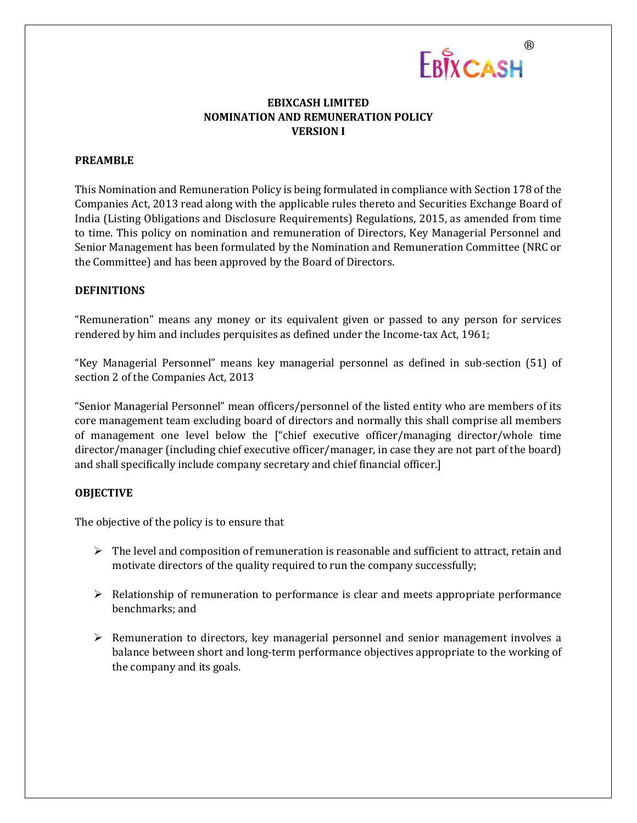

## **EBIXCASH LIMITED NOMINATION AND REMUNERATION POLICY VERSION I**

### **PREAMBLE**

This Nomination and Remuneration Policy is being formulated in compliance with Section 178 of the Companies Act, 2013 read along with the applicable rules thereto and Securities Exchange Board of India (Listing Obligations and Disclosure Requirements) Regulations, 2015, as amended from time to time. This policy on nomination and remuneration of Directors, Key Managerial Personnel and Senior Management has been formulated by the Nomination and Remuneration Committee (NRC or the Committee) and has been approved by the Board of Directors.

### **DEFINITIONS**

"Remuneration" means any money or its equivalent given or passed to any person for services rendered by him and includes perquisites as defined under the Income-tax Act, 1961;

"Key Managerial Personnel" means key managerial personnel as defined in sub‐section (51) of section 2 of the Companies Act, 2013

"Senior Managerial Personnel" mean officers/personnel of the listed entity who are members of its core management team excluding board of directors and normally this shall comprise all members of management one level below the ["chief executive officer/managing director/whole time director/manager (including chief executive officer/manager, in case they are not part of the board) and shall specifically include company secretary and chief financial officer.]

#### **OBJECTIVE**

The objective of the policy is to ensure that

- $\triangleright$  The level and composition of remuneration is reasonable and sufficient to attract, retain and motivate directors of the quality required to run the company successfully;
- $\triangleright$  Relationship of remuneration to performance is clear and meets appropriate performance benchmarks; and
- $\triangleright$  Remuneration to directors, key managerial personnel and senior management involves a balance between short and long‐term performance objectives appropriate to the working of the company and its goals.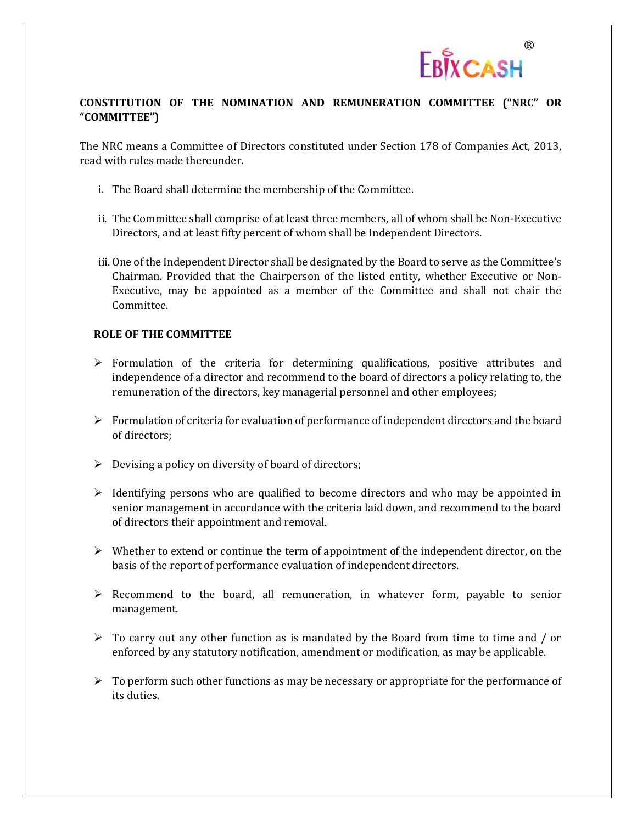

# **CONSTITUTION OF THE NOMINATION AND REMUNERATION COMMITTEE ("NRC" OR "COMMITTEE")**

The NRC means a Committee of Directors constituted under Section 178 of Companies Act, 2013, read with rules made thereunder.

- i. The Board shall determine the membership of the Committee.
- ii. The Committee shall comprise of at least three members, all of whom shall be Non-Executive Directors, and at least fifty percent of whom shall be Independent Directors.
- iii. One of the Independent Director shall be designated by the Board to serve as the Committee's Chairman. Provided that the Chairperson of the listed entity, whether Executive or Non-Executive, may be appointed as a member of the Committee and shall not chair the Committee.

### **ROLE OF THE COMMITTEE**

- $\triangleright$  Formulation of the criteria for determining qualifications, positive attributes and independence of a director and recommend to the board of directors a policy relating to, the remuneration of the directors, key managerial personnel and other employees;
- $\triangleright$  Formulation of criteria for evaluation of performance of independent directors and the board of directors;
- $\triangleright$  Devising a policy on diversity of board of directors;
- $\triangleright$  Identifying persons who are qualified to become directors and who may be appointed in senior management in accordance with the criteria laid down, and recommend to the board of directors their appointment and removal.
- $\triangleright$  Whether to extend or continue the term of appointment of the independent director, on the basis of the report of performance evaluation of independent directors.
- $\triangleright$  Recommend to the board, all remuneration, in whatever form, payable to senior management.
- $\triangleright$  To carry out any other function as is mandated by the Board from time to time and / or enforced by any statutory notification, amendment or modification, as may be applicable.
- $\triangleright$  To perform such other functions as may be necessary or appropriate for the performance of its duties.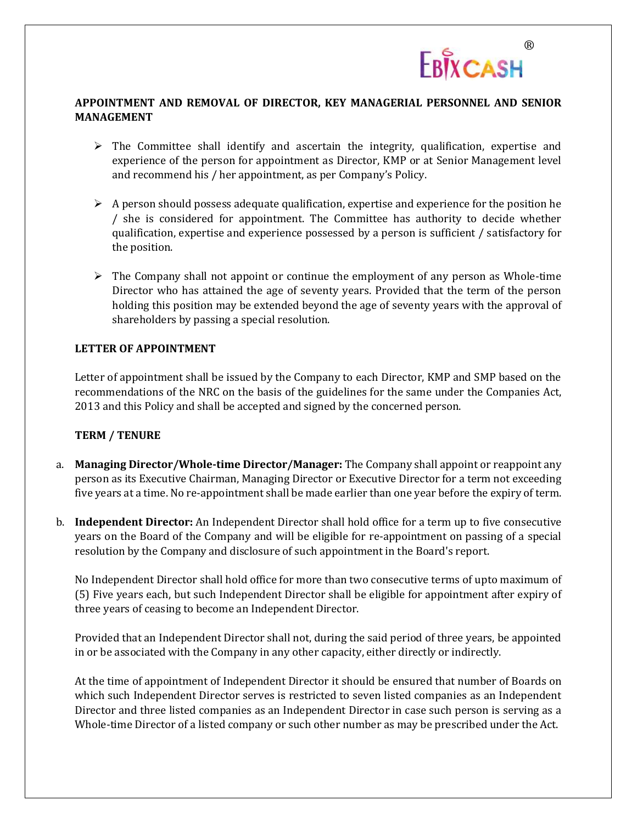

## **APPOINTMENT AND REMOVAL OF DIRECTOR, KEY MANAGERIAL PERSONNEL AND SENIOR MANAGEMENT**

- $\triangleright$  The Committee shall identify and ascertain the integrity, qualification, expertise and experience of the person for appointment as Director, KMP or at Senior Management level and recommend his / her appointment, as per Company's Policy.
- $\triangleright$  A person should possess adequate qualification, expertise and experience for the position he / she is considered for appointment. The Committee has authority to decide whether qualification, expertise and experience possessed by a person is sufficient / satisfactory for the position.
- $\triangleright$  The Company shall not appoint or continue the employment of any person as Whole-time Director who has attained the age of seventy years. Provided that the term of the person holding this position may be extended beyond the age of seventy years with the approval of shareholders by passing a special resolution.

## **LETTER OF APPOINTMENT**

Letter of appointment shall be issued by the Company to each Director, KMP and SMP based on the recommendations of the NRC on the basis of the guidelines for the same under the Companies Act, 2013 and this Policy and shall be accepted and signed by the concerned person.

### **TERM / TENURE**

- a. **Managing Director/Whole‐time Director/Manager:** The Company shall appoint or reappoint any person as its Executive Chairman, Managing Director or Executive Director for a term not exceeding five years at a time. No re‐appointment shall be made earlier than one year before the expiry of term.
- b. **Independent Director:** An Independent Director shall hold office for a term up to five consecutive years on the Board of the Company and will be eligible for re‐appointment on passing of a special resolution by the Company and disclosure of such appointment in the Board's report.

No Independent Director shall hold office for more than two consecutive terms of upto maximum of (5) Five years each, but such Independent Director shall be eligible for appointment after expiry of three years of ceasing to become an Independent Director.

Provided that an Independent Director shall not, during the said period of three years, be appointed in or be associated with the Company in any other capacity, either directly or indirectly.

At the time of appointment of Independent Director it should be ensured that number of Boards on which such Independent Director serves is restricted to seven listed companies as an Independent Director and three listed companies as an Independent Director in case such person is serving as a Whole-time Director of a listed company or such other number as may be prescribed under the Act.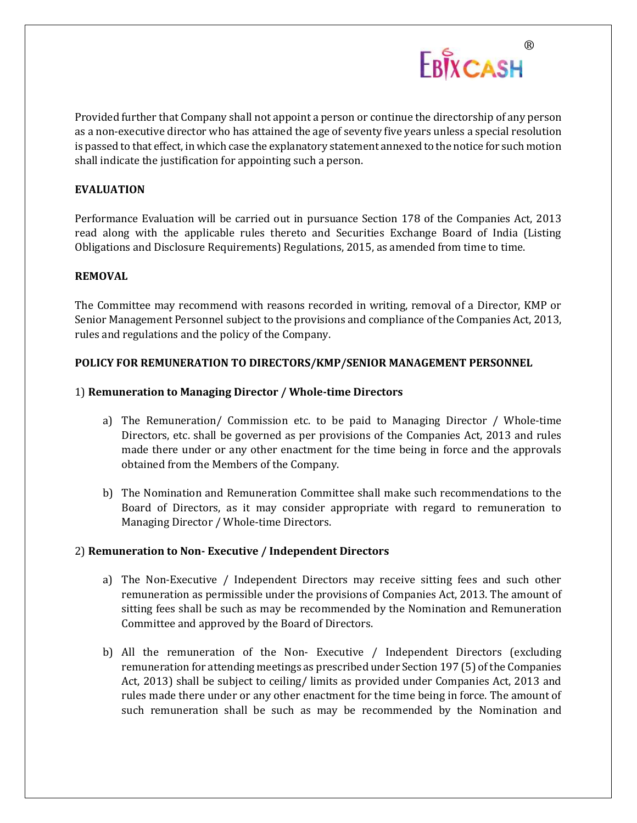

Provided further that Company shall not appoint a person or continue the directorship of any person as a non‐executive director who has attained the age of seventy five years unless a special resolution is passed to that effect, in which case the explanatory statement annexed to the notice for such motion shall indicate the justification for appointing such a person.

## **EVALUATION**

Performance Evaluation will be carried out in pursuance Section 178 of the Companies Act, 2013 read along with the applicable rules thereto and Securities Exchange Board of India (Listing Obligations and Disclosure Requirements) Regulations, 2015, as amended from time to time.

### **REMOVAL**

The Committee may recommend with reasons recorded in writing, removal of a Director, KMP or Senior Management Personnel subject to the provisions and compliance of the Companies Act, 2013, rules and regulations and the policy of the Company.

### **POLICY FOR REMUNERATION TO DIRECTORS/KMP/SENIOR MANAGEMENT PERSONNEL**

### 1) **Remuneration to Managing Director / Whole‐time Directors**

- a) The Remuneration/ Commission etc. to be paid to Managing Director / Whole‐time Directors, etc. shall be governed as per provisions of the Companies Act, 2013 and rules made there under or any other enactment for the time being in force and the approvals obtained from the Members of the Company.
- b) The Nomination and Remuneration Committee shall make such recommendations to the Board of Directors, as it may consider appropriate with regard to remuneration to Managing Director / Whole-time Directors.

### 2) **Remuneration to Non‐ Executive / Independent Directors**

- a) The Non‐Executive / Independent Directors may receive sitting fees and such other remuneration as permissible under the provisions of Companies Act, 2013. The amount of sitting fees shall be such as may be recommended by the Nomination and Remuneration Committee and approved by the Board of Directors.
- b) All the remuneration of the Non‐ Executive / Independent Directors (excluding remuneration for attending meetings as prescribed under Section 197 (5) of the Companies Act, 2013) shall be subject to ceiling/ limits as provided under Companies Act, 2013 and rules made there under or any other enactment for the time being in force. The amount of such remuneration shall be such as may be recommended by the Nomination and